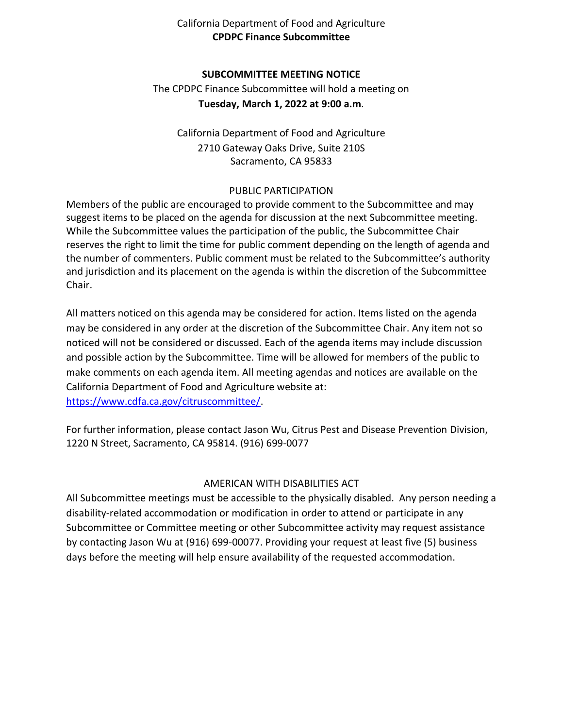# California Department of Food and Agriculture **CPDPC Finance Subcommittee**

## **SUBCOMMITTEE MEETING NOTICE**

 The CPDPC Finance Subcommittee will hold a meeting on **Tuesday, March 1, 2022 at 9:00 a.m**.

 California Department of Food and Agriculture 2710 Gateway Oaks Drive, Suite 210S Sacramento, CA 95833

#### PUBLIC PARTICIPATION

 Members of the public are encouraged to provide comment to the Subcommittee and may suggest items to be placed on the agenda for discussion at the next Subcommittee meeting. While the Subcommittee values the participation of the public, the Subcommittee Chair reserves the right to limit the time for public comment depending on the length of agenda and the number of commenters. Public comment must be related to the Subcommittee's authority and jurisdiction and its placement on the agenda is within the discretion of the Subcommittee Chair.

 All matters noticed on this agenda may be considered for action. Items listed on the agenda may be considered in any order at the discretion of the Subcommittee Chair. Any item not so noticed will not be considered or discussed. Each of the agenda items may include discussion and possible action by the Subcommittee. Time will be allowed for members of the public to make comments on each agenda item. All meeting agendas and notices are available on the California Department of Food and Agriculture website at: [https://www.cdfa.ca.gov/citruscommittee/.](https://www.cdfa.ca.gov/citruscommittee/)

 For further information, please contact Jason Wu, Citrus Pest and Disease Prevention Division, 1220 N Street, Sacramento, CA 95814. (916) 699-0077

# AMERICAN WITH DISABILITIES ACT

 All Subcommittee meetings must be accessible to the physically disabled. Any person needing a disability-related accommodation or modification in order to attend or participate in any Subcommittee or Committee meeting or other Subcommittee activity may request assistance by contacting Jason Wu at (916) 699-00077. Providing your request at least five (5) business days before the meeting will help ensure availability of the requested accommodation.